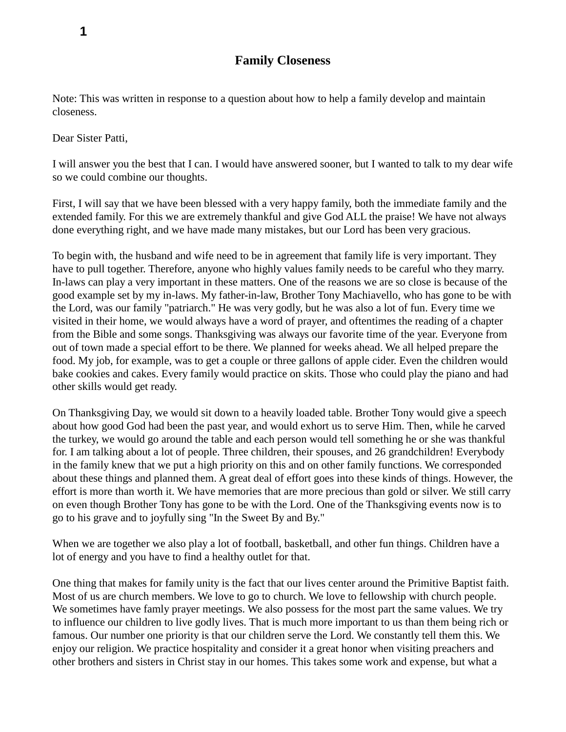Note: This was written in response to a question about how to help a family develop and maintain closeness.

Dear Sister Patti,

I will answer you the best that I can. I would have answered sooner, but I wanted to talk to my dear wife so we could combine our thoughts.

First, I will say that we have been blessed with a very happy family, both the immediate family and the extended family. For this we are extremely thankful and give God ALL the praise! We have not always done everything right, and we have made many mistakes, but our Lord has been very gracious.

To begin with, the husband and wife need to be in agreement that family life is very important. They have to pull together. Therefore, anyone who highly values family needs to be careful who they marry. In-laws can play a very important in these matters. One of the reasons we are so close is because of the good example set by my in-laws. My father-in-law, Brother Tony Machiavello, who has gone to be with the Lord, was our family "patriarch." He was very godly, but he was also a lot of fun. Every time we visited in their home, we would always have a word of prayer, and oftentimes the reading of a chapter from the Bible and some songs. Thanksgiving was always our favorite time of the year. Everyone from out of town made a special effort to be there. We planned for weeks ahead. We all helped prepare the food. My job, for example, was to get a couple or three gallons of apple cider. Even the children would bake cookies and cakes. Every family would practice on skits. Those who could play the piano and had other skills would get ready.

On Thanksgiving Day, we would sit down to a heavily loaded table. Brother Tony would give a speech about how good God had been the past year, and would exhort us to serve Him. Then, while he carved the turkey, we would go around the table and each person would tell something he or she was thankful for. I am talking about a lot of people. Three children, their spouses, and 26 grandchildren! Everybody in the family knew that we put a high priority on this and on other family functions. We corresponded about these things and planned them. A great deal of effort goes into these kinds of things. However, the effort is more than worth it. We have memories that are more precious than gold or silver. We still carry on even though Brother Tony has gone to be with the Lord. One of the Thanksgiving events now is to go to his grave and to joyfully sing "In the Sweet By and By."

When we are together we also play a lot of football, basketball, and other fun things. Children have a lot of energy and you have to find a healthy outlet for that.

One thing that makes for family unity is the fact that our lives center around the Primitive Baptist faith. Most of us are church members. We love to go to church. We love to fellowship with church people. We sometimes have famly prayer meetings. We also possess for the most part the same values. We try to influence our children to live godly lives. That is much more important to us than them being rich or famous. Our number one priority is that our children serve the Lord. We constantly tell them this. We enjoy our religion. We practice hospitality and consider it a great honor when visiting preachers and other brothers and sisters in Christ stay in our homes. This takes some work and expense, but what a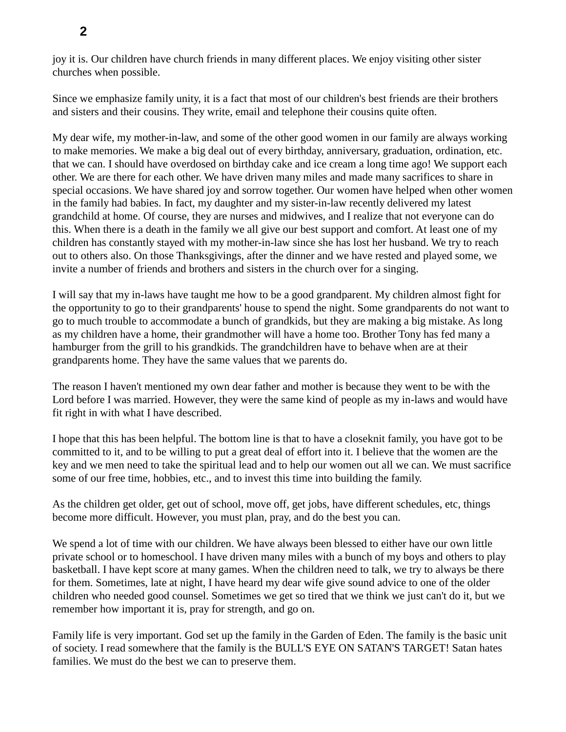joy it is. Our children have church friends in many different places. We enjoy visiting other sister churches when possible.

Since we emphasize family unity, it is a fact that most of our children's best friends are their brothers and sisters and their cousins. They write, email and telephone their cousins quite often.

My dear wife, my mother-in-law, and some of the other good women in our family are always working to make memories. We make a big deal out of every birthday, anniversary, graduation, ordination, etc. that we can. I should have overdosed on birthday cake and ice cream a long time ago! We support each other. We are there for each other. We have driven many miles and made many sacrifices to share in special occasions. We have shared joy and sorrow together. Our women have helped when other women in the family had babies. In fact, my daughter and my sister-in-law recently delivered my latest grandchild at home. Of course, they are nurses and midwives, and I realize that not everyone can do this. When there is a death in the family we all give our best support and comfort. At least one of my children has constantly stayed with my mother-in-law since she has lost her husband. We try to reach out to others also. On those Thanksgivings, after the dinner and we have rested and played some, we invite a number of friends and brothers and sisters in the church over for a singing.

I will say that my in-laws have taught me how to be a good grandparent. My children almost fight for the opportunity to go to their grandparents' house to spend the night. Some grandparents do not want to go to much trouble to accommodate a bunch of grandkids, but they are making a big mistake. As long as my children have a home, their grandmother will have a home too. Brother Tony has fed many a hamburger from the grill to his grandkids. The grandchildren have to behave when are at their grandparents home. They have the same values that we parents do.

The reason I haven't mentioned my own dear father and mother is because they went to be with the Lord before I was married. However, they were the same kind of people as my in-laws and would have fit right in with what I have described.

I hope that this has been helpful. The bottom line is that to have a closeknit family, you have got to be committed to it, and to be willing to put a great deal of effort into it. I believe that the women are the key and we men need to take the spiritual lead and to help our women out all we can. We must sacrifice some of our free time, hobbies, etc., and to invest this time into building the family.

As the children get older, get out of school, move off, get jobs, have different schedules, etc, things become more difficult. However, you must plan, pray, and do the best you can.

We spend a lot of time with our children. We have always been blessed to either have our own little private school or to homeschool. I have driven many miles with a bunch of my boys and others to play basketball. I have kept score at many games. When the children need to talk, we try to always be there for them. Sometimes, late at night, I have heard my dear wife give sound advice to one of the older children who needed good counsel. Sometimes we get so tired that we think we just can't do it, but we remember how important it is, pray for strength, and go on.

Family life is very important. God set up the family in the Garden of Eden. The family is the basic unit of society. I read somewhere that the family is the BULL'S EYE ON SATAN'S TARGET! Satan hates families. We must do the best we can to preserve them.